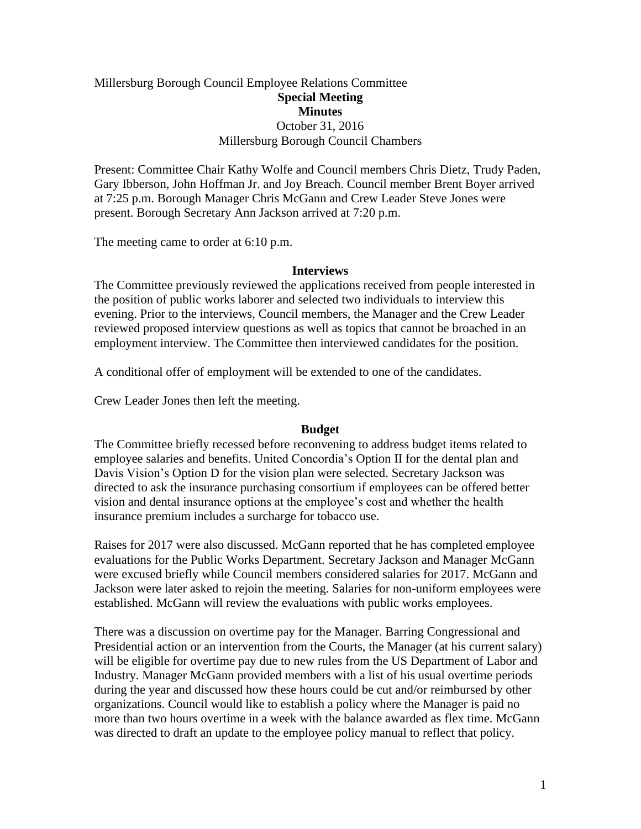# Millersburg Borough Council Employee Relations Committee **Special Meeting Minutes** October 31, 2016 Millersburg Borough Council Chambers

Present: Committee Chair Kathy Wolfe and Council members Chris Dietz, Trudy Paden, Gary Ibberson, John Hoffman Jr. and Joy Breach. Council member Brent Boyer arrived at 7:25 p.m. Borough Manager Chris McGann and Crew Leader Steve Jones were present. Borough Secretary Ann Jackson arrived at 7:20 p.m.

The meeting came to order at 6:10 p.m.

### **Interviews**

The Committee previously reviewed the applications received from people interested in the position of public works laborer and selected two individuals to interview this evening. Prior to the interviews, Council members, the Manager and the Crew Leader reviewed proposed interview questions as well as topics that cannot be broached in an employment interview. The Committee then interviewed candidates for the position.

A conditional offer of employment will be extended to one of the candidates.

Crew Leader Jones then left the meeting.

#### **Budget**

The Committee briefly recessed before reconvening to address budget items related to employee salaries and benefits. United Concordia's Option II for the dental plan and Davis Vision's Option D for the vision plan were selected. Secretary Jackson was directed to ask the insurance purchasing consortium if employees can be offered better vision and dental insurance options at the employee's cost and whether the health insurance premium includes a surcharge for tobacco use.

Raises for 2017 were also discussed. McGann reported that he has completed employee evaluations for the Public Works Department. Secretary Jackson and Manager McGann were excused briefly while Council members considered salaries for 2017. McGann and Jackson were later asked to rejoin the meeting. Salaries for non-uniform employees were established. McGann will review the evaluations with public works employees.

There was a discussion on overtime pay for the Manager. Barring Congressional and Presidential action or an intervention from the Courts, the Manager (at his current salary) will be eligible for overtime pay due to new rules from the US Department of Labor and Industry. Manager McGann provided members with a list of his usual overtime periods during the year and discussed how these hours could be cut and/or reimbursed by other organizations. Council would like to establish a policy where the Manager is paid no more than two hours overtime in a week with the balance awarded as flex time. McGann was directed to draft an update to the employee policy manual to reflect that policy.